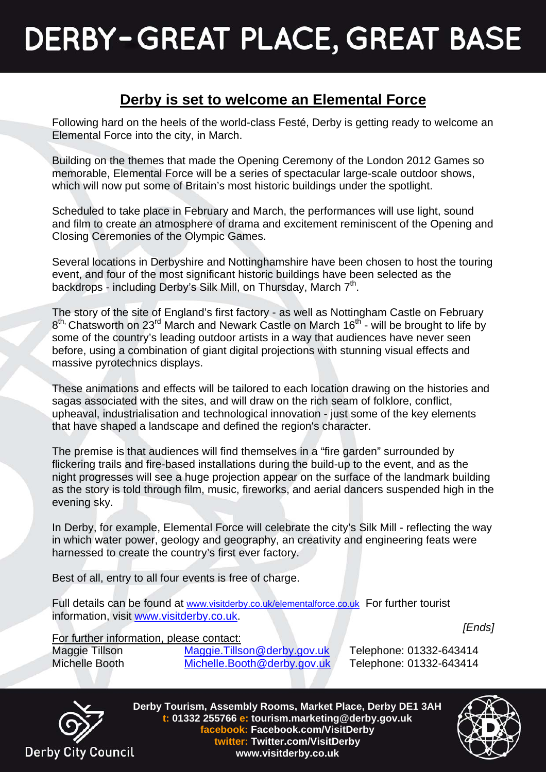## **DERBY-GREAT PLACE, GREAT BASE**

## **Derby is set to welcome an Elemental Force**

Following hard on the heels of the world-class Festé, Derby is getting ready to welcome an Elemental Force into the city, in March.

Building on the themes that made the Opening Ceremony of the London 2012 Games so memorable, Elemental Force will be a series of spectacular large-scale outdoor shows, which will now put some of Britain's most historic buildings under the spotlight.

Scheduled to take place in February and March, the performances will use light, sound and film to create an atmosphere of drama and excitement reminiscent of the Opening and Closing Ceremonies of the Olympic Games.

Several locations in Derbyshire and Nottinghamshire have been chosen to host the touring event, and four of the most significant historic buildings have been selected as the backdrops - including Derby's Silk Mill, on Thursday, March 7<sup>th</sup>.

The story of the site of England's first factory - as well as Nottingham Castle on February 8<sup>th,</sup> Chatsworth on 23<sup>rd</sup> March and Newark Castle on March 16<sup>th</sup> - will be brought to life by some of the country's leading outdoor artists in a way that audiences have never seen before, using a combination of giant digital projections with stunning visual effects and massive pyrotechnics displays.

These animations and effects will be tailored to each location drawing on the histories and sagas associated with the sites, and will draw on the rich seam of folklore, conflict, upheaval, industrialisation and technological innovation - just some of the key elements that have shaped a landscape and defined the region's character.

The premise is that audiences will find themselves in a "fire garden" surrounded by flickering trails and fire-based installations during the build-up to the event, and as the night progresses will see a huge projection appear on the surface of the landmark building as the story is told through film, music, fireworks, and aerial dancers suspended high in the evening sky.

In Derby, for example, Elemental Force will celebrate the city's Silk Mill - reflecting the way in which water power, geology and geography, an creativity and engineering feats were harnessed to create the country's first ever factory.

Best of all, entry to all four events is free of charge.

Full details can be found at [www.visitderby.co.uk/elementalforce.co.uk](http://www.visitderby.co.uk/elementalforce.co.uk) For further tourist information, visit [www.visitderby.co.uk.](http://www.visitderby.co.uk/)

 *[Ends]* 

For further information, please contact:<br>Maggie Tillson Maggie.Tills

[Maggie.Tillson@derby.gov.uk](mailto:Maggie.Tillson@derby.gov.uk) Telephone: 01332-643414 Michelle Booth [Michelle.Booth@derby.gov.uk](mailto:Michelle.Booth@derby.gov.uk) Telephone: 01332-643414



**Derby Tourism, Assembly Rooms, Market Place, Derby DE1 3AH t: 01332 255766 e: tourism.marketing@derby.gov.uk facebook: Facebook.com/VisitDerby twitter: Twitter.com/VisitDerby www.visitderby.co.uk**